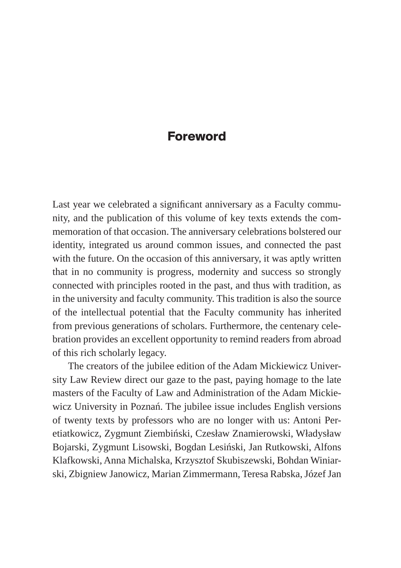## **Foreword**

Last year we celebrated a significant anniversary as a Faculty community, and the publication of this volume of key texts extends the commemoration of that occasion. The anniversary celebrations bolstered our identity, integrated us around common issues, and connected the past with the future. On the occasion of this anniversary, it was aptly written that in no community is progress, modernity and success so strongly connected with principles rooted in the past, and thus with tradition, as in the university and faculty community. This tradition is also the source of the intellectual potential that the Faculty community has inherited from previous generations of scholars. Furthermore, the centenary celebration provides an excellent opportunity to remind readers from abroad of this rich scholarly legacy.

The creators of the jubilee edition of the Adam Mickiewicz University Law Review direct our gaze to the past, paying homage to the late masters of the Faculty of Law and Administration of the Adam Mickiewicz University in Poznań. The jubilee issue includes English versions of twenty texts by professors who are no longer with us: Antoni Peretiatkowicz, Zygmunt Ziembiński, Czesław Znamierowski, Władysław Bojarski, Zygmunt Lisowski, Bogdan Lesiński, Jan Rutkowski, Alfons Klafkowski, Anna Michalska, Krzysztof Skubiszewski, Bohdan Winiarski, Zbigniew Janowicz, Marian Zimmermann, Teresa Rabska, Józef Jan